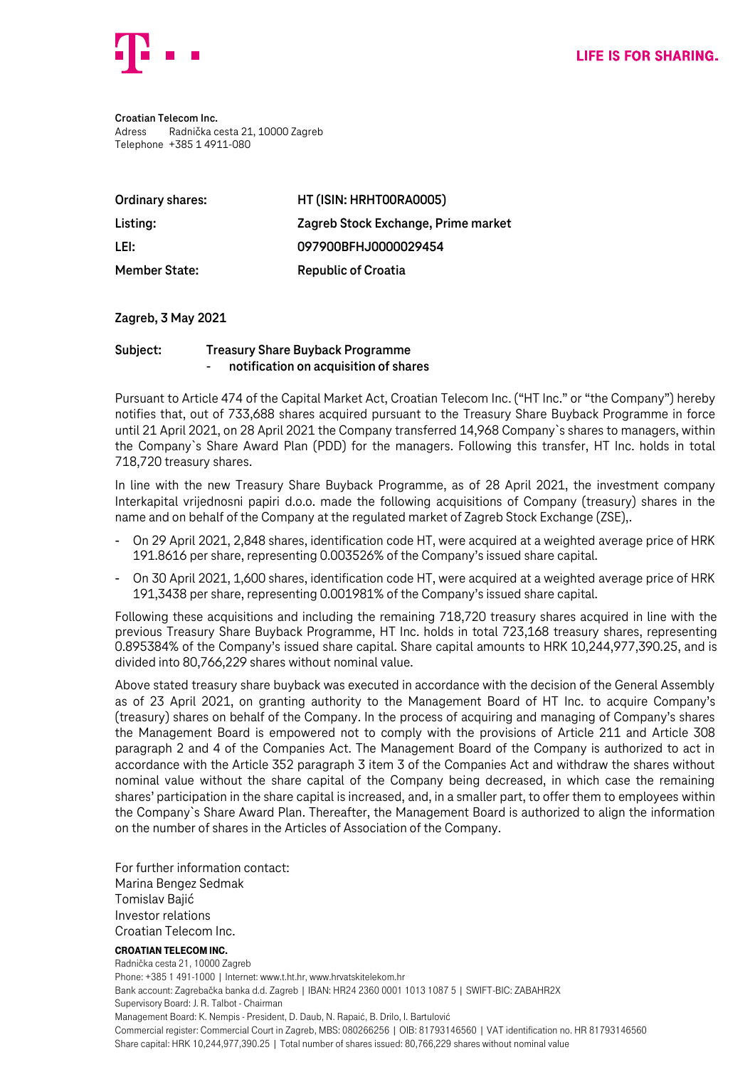

**Croatian Telecom Inc.** Adress Radnička cesta 21, 10000 Zagreb Telephone +385 1 4911-080

| Ordinary shares:     | HT (ISIN: HRHT00RA0005)             |
|----------------------|-------------------------------------|
| Listing:             | Zagreb Stock Exchange, Prime market |
| LEI:                 | 097900BFHJ0000029454                |
| <b>Member State:</b> | <b>Republic of Croatia</b>          |

#### **Zagreb, 3 May 2021**

### **Subject: Treasury Share Buyback Programme** - **notification on acquisition of shares**

Pursuant to Article 474 of the Capital Market Act, Croatian Telecom Inc. ("HT Inc." or "the Company") hereby notifies that, out of 733,688 shares acquired pursuant to the Treasury Share Buyback Programme in force until 21 April 2021, on 28 April 2021 the Company transferred 14,968 Company`s shares to managers, within the Company`s Share Award Plan (PDD) for the managers. Following this transfer, HT Inc. holds in total 718,720 treasury shares.

In line with the new Treasury Share Buyback Programme, as of 28 April 2021, the investment company Interkapital vrijednosni papiri d.o.o. made the following acquisitions of Company (treasury) shares in the name and on behalf of the Company at the regulated market of Zagreb Stock Exchange (ZSE),.

- On 29 April 2021, 2,848 shares, identification code HT, were acquired at a weighted average price of HRK 191.8616 per share, representing 0.003526% of the Company's issued share capital.
- On 30 April 2021, 1,600 shares, identification code HT, were acquired at a weighted average price of HRK 191,3438 per share, representing 0.001981% of the Company's issued share capital.

Following these acquisitions and including the remaining 718,720 treasury shares acquired in line with the previous Treasury Share Buyback Programme, HT Inc. holds in total 723,168 treasury shares, representing 0.895384% of the Company's issued share capital. Share capital amounts to HRK 10,244,977,390.25, and is divided into 80,766,229 shares without nominal value.

Above stated treasury share buyback was executed in accordance with the decision of the General Assembly as of 23 April 2021, on granting authority to the Management Board of HT Inc. to acquire Company's (treasury) shares on behalf of the Company. In the process of acquiring and managing of Company's shares the Management Board is empowered not to comply with the provisions of Article 211 and Article 308 paragraph 2 and 4 of the Companies Act. The Management Board of the Company is authorized to act in accordance with the Article 352 paragraph 3 item 3 of the Companies Act and withdraw the shares without nominal value without the share capital of the Company being decreased, in which case the remaining shares' participation in the share capital is increased, and, in a smaller part, to offer them to employees within the Company`s Share Award Plan. Thereafter, the Management Board is authorized to align the information on the number of shares in the Articles of Association of the Company.

For further information contact: Marina Bengez Sedmak Tomislav Bajić Investor relations Croatian Telecom Inc.

#### Croatian Telecom Inc.

Radnička cesta 21, 10000 Zagreb Phone: +385 1 491-1000 | Internet: www.t.ht.hr, www.hrvatskitelekom.hr Bank account: Zagrebačka banka d.d. Zagreb | IBAN: HR24 2360 0001 1013 1087 5 | SWIFT-BIC: ZABAHR2X Supervisory Board: J. R. Talbot - Chairman Management Board: K. Nempis - President, D. Daub, N. Rapaić, B. Drilo, I. Bartulović Commercial register: Commercial Court in Zagreb, MBS: 080266256 | OIB: 81793146560 | VAT identification no. HR 81793146560 Share capital: HRK 10,244,977,390.25 | Total number of shares issued: 80,766,229 shares without nominal value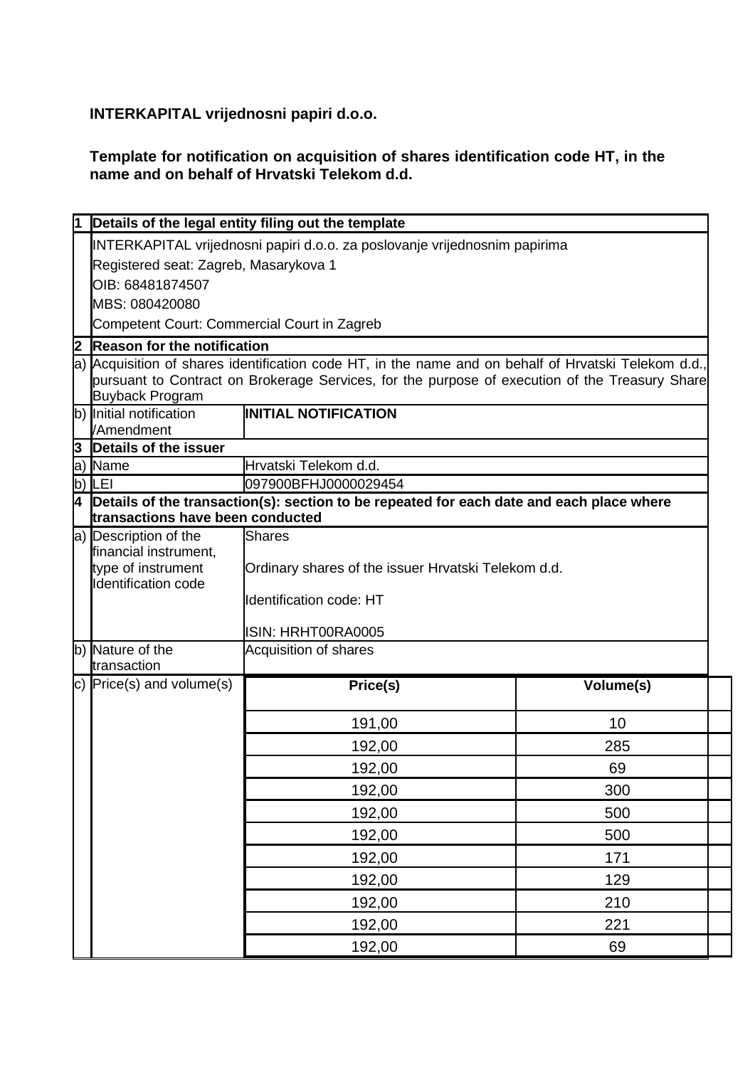# **INTERKAPITAL vrijednosni papiri d.o.o.**

## **Template for notification on acquisition of shares identification code HT, in the name and on behalf of Hrvatski Telekom d.d.**

|                  |                                                                                                      | Details of the legal entity filing out the template                                            |           |  |  |
|------------------|------------------------------------------------------------------------------------------------------|------------------------------------------------------------------------------------------------|-----------|--|--|
|                  | INTERKAPITAL vrijednosni papiri d.o.o. za poslovanje vrijednosnim papirima                           |                                                                                                |           |  |  |
|                  | Registered seat: Zagreb, Masarykova 1                                                                |                                                                                                |           |  |  |
| OIB: 68481874507 |                                                                                                      |                                                                                                |           |  |  |
| MBS: 080420080   |                                                                                                      |                                                                                                |           |  |  |
|                  | Competent Court: Commercial Court in Zagreb                                                          |                                                                                                |           |  |  |
| 2                | <b>Reason for the notification</b>                                                                   |                                                                                                |           |  |  |
|                  | a) Acquisition of shares identification code HT, in the name and on behalf of Hrvatski Telekom d.d., |                                                                                                |           |  |  |
|                  |                                                                                                      | pursuant to Contract on Brokerage Services, for the purpose of execution of the Treasury Share |           |  |  |
|                  | <b>Buyback Program</b><br>b) Initial notification                                                    | <b>INITIAL NOTIFICATION</b>                                                                    |           |  |  |
|                  | /Amendment                                                                                           |                                                                                                |           |  |  |
| 3                | Details of the issuer                                                                                |                                                                                                |           |  |  |
|                  | a) Name                                                                                              | Hrvatski Telekom d.d.                                                                          |           |  |  |
| b)               | LEI                                                                                                  | 097900BFHJ0000029454                                                                           |           |  |  |
| 4                | Details of the transaction(s): section to be repeated for each date and each place where             |                                                                                                |           |  |  |
|                  | transactions have been conducted                                                                     |                                                                                                |           |  |  |
|                  | a) Description of the                                                                                | <b>Shares</b>                                                                                  |           |  |  |
|                  | financial instrument,                                                                                |                                                                                                |           |  |  |
|                  | type of instrument<br><b>Identification code</b>                                                     | Ordinary shares of the issuer Hrvatski Telekom d.d.                                            |           |  |  |
|                  |                                                                                                      | Identification code: HT                                                                        |           |  |  |
|                  |                                                                                                      |                                                                                                |           |  |  |
|                  |                                                                                                      | ISIN: HRHT00RA0005                                                                             |           |  |  |
|                  | b) Nature of the                                                                                     | Acquisition of shares                                                                          |           |  |  |
|                  | transaction                                                                                          |                                                                                                |           |  |  |
| C)               | Price(s) and volume(s)                                                                               | Price(s)                                                                                       | Volume(s) |  |  |
|                  |                                                                                                      | 191,00                                                                                         | 10        |  |  |
|                  |                                                                                                      | 192,00                                                                                         | 285       |  |  |
|                  |                                                                                                      |                                                                                                | 69        |  |  |
|                  |                                                                                                      | 192,00                                                                                         |           |  |  |
|                  |                                                                                                      | 192,00                                                                                         | 300       |  |  |
|                  |                                                                                                      | 192,00                                                                                         | 500       |  |  |
|                  |                                                                                                      | 192,00                                                                                         | 500       |  |  |
|                  |                                                                                                      | 192,00                                                                                         | 171       |  |  |
|                  |                                                                                                      | 192,00                                                                                         | 129       |  |  |
|                  |                                                                                                      | 192,00                                                                                         | 210       |  |  |
|                  |                                                                                                      | 192,00                                                                                         | 221       |  |  |
|                  |                                                                                                      | 192,00                                                                                         | 69        |  |  |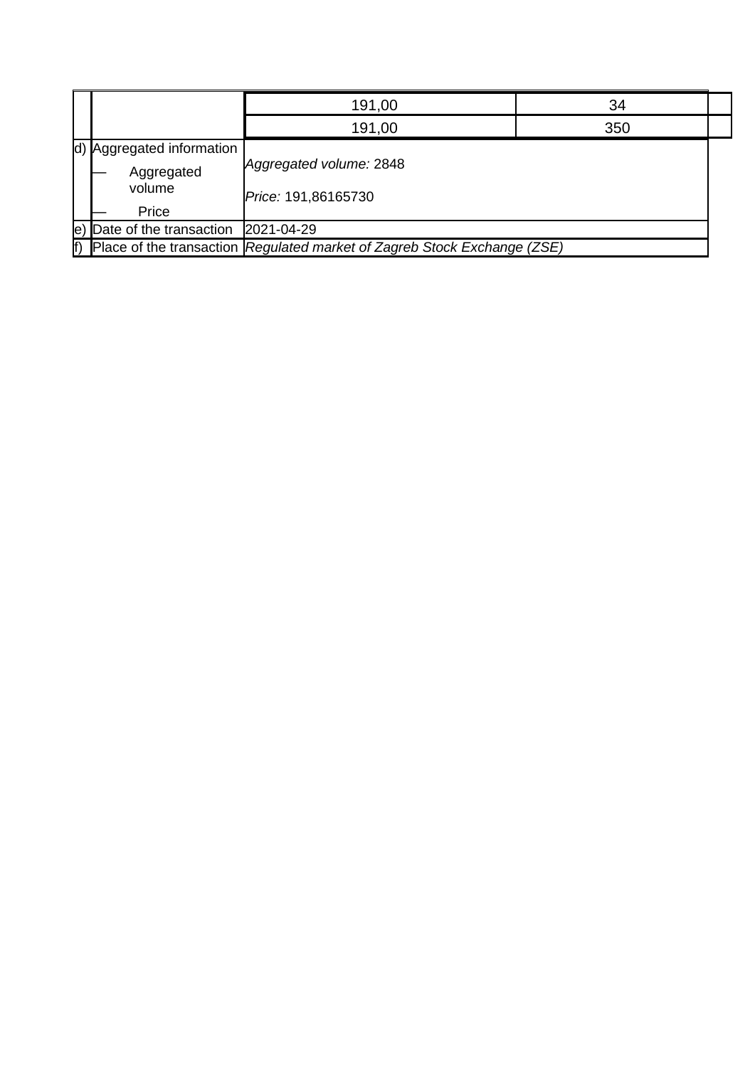|                                             | 191,00                                                                         | 34  |  |
|---------------------------------------------|--------------------------------------------------------------------------------|-----|--|
| d) Aggregated information                   | 191,00<br>Aggregated volume: 2848                                              | 350 |  |
| Aggregated<br>volume                        | Price: 191,86165730                                                            |     |  |
| Price                                       |                                                                                |     |  |
| $ e $ Date of the transaction $ 2021-04-29$ |                                                                                |     |  |
|                                             | $ f $ Place of the transaction Regulated market of Zagreb Stock Exchange (ZSE) |     |  |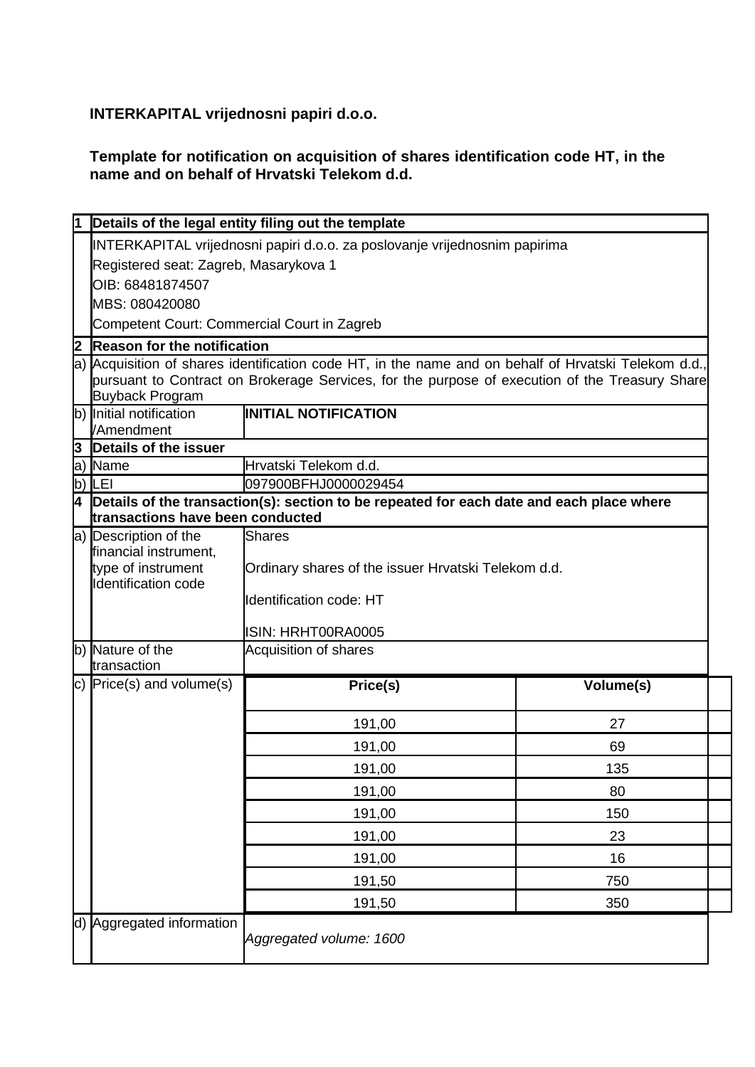# **INTERKAPITAL vrijednosni papiri d.o.o.**

## **Template for notification on acquisition of shares identification code HT, in the name and on behalf of Hrvatski Telekom d.d.**

|    |                                                                                                      | Details of the legal entity filing out the template |           |
|----|------------------------------------------------------------------------------------------------------|-----------------------------------------------------|-----------|
|    | INTERKAPITAL vrijednosni papiri d.o.o. za poslovanje vrijednosnim papirima                           |                                                     |           |
|    | Registered seat: Zagreb, Masarykova 1                                                                |                                                     |           |
|    | OIB: 68481874507                                                                                     |                                                     |           |
|    | MBS: 080420080                                                                                       |                                                     |           |
|    | Competent Court: Commercial Court in Zagreb                                                          |                                                     |           |
| 2  | <b>Reason for the notification</b>                                                                   |                                                     |           |
|    | a) Acquisition of shares identification code HT, in the name and on behalf of Hrvatski Telekom d.d., |                                                     |           |
|    | pursuant to Contract on Brokerage Services, for the purpose of execution of the Treasury Share       |                                                     |           |
|    | <b>Buyback Program</b><br><b>INITIAL NOTIFICATION</b><br>b) Initial notification                     |                                                     |           |
|    | /Amendment                                                                                           |                                                     |           |
| 3  | Details of the issuer                                                                                |                                                     |           |
|    | a) Name                                                                                              | Hrvatski Telekom d.d.                               |           |
| b) | LEI                                                                                                  | 097900BFHJ0000029454                                |           |
| 4  | Details of the transaction(s): section to be repeated for each date and each place where             |                                                     |           |
|    | transactions have been conducted                                                                     |                                                     |           |
|    | a) Description of the                                                                                | <b>Shares</b>                                       |           |
|    | financial instrument,<br>type of instrument                                                          |                                                     |           |
|    | Identification code                                                                                  | Ordinary shares of the issuer Hrvatski Telekom d.d. |           |
|    |                                                                                                      | <b>Identification code: HT</b>                      |           |
|    |                                                                                                      |                                                     |           |
|    |                                                                                                      | ISIN: HRHT00RA0005                                  |           |
|    | b) Nature of the                                                                                     | Acquisition of shares                               |           |
|    | transaction<br>c) $Price(s)$ and volume(s)                                                           |                                                     |           |
|    |                                                                                                      | Price(s)                                            | Volume(s) |
|    |                                                                                                      | 191,00                                              | 27        |
|    |                                                                                                      | 191,00                                              | 69        |
|    |                                                                                                      | 191,00                                              | 135       |
|    |                                                                                                      | 191,00                                              | 80        |
|    |                                                                                                      |                                                     |           |
|    |                                                                                                      | 191,00                                              | 150       |
|    |                                                                                                      | 191,00                                              | 23        |
|    |                                                                                                      | 191,00                                              | 16        |
|    |                                                                                                      | 191,50                                              | 750       |
|    |                                                                                                      | 191,50                                              | 350       |
|    | d) Aggregated information                                                                            | Aggregated volume: 1600                             |           |